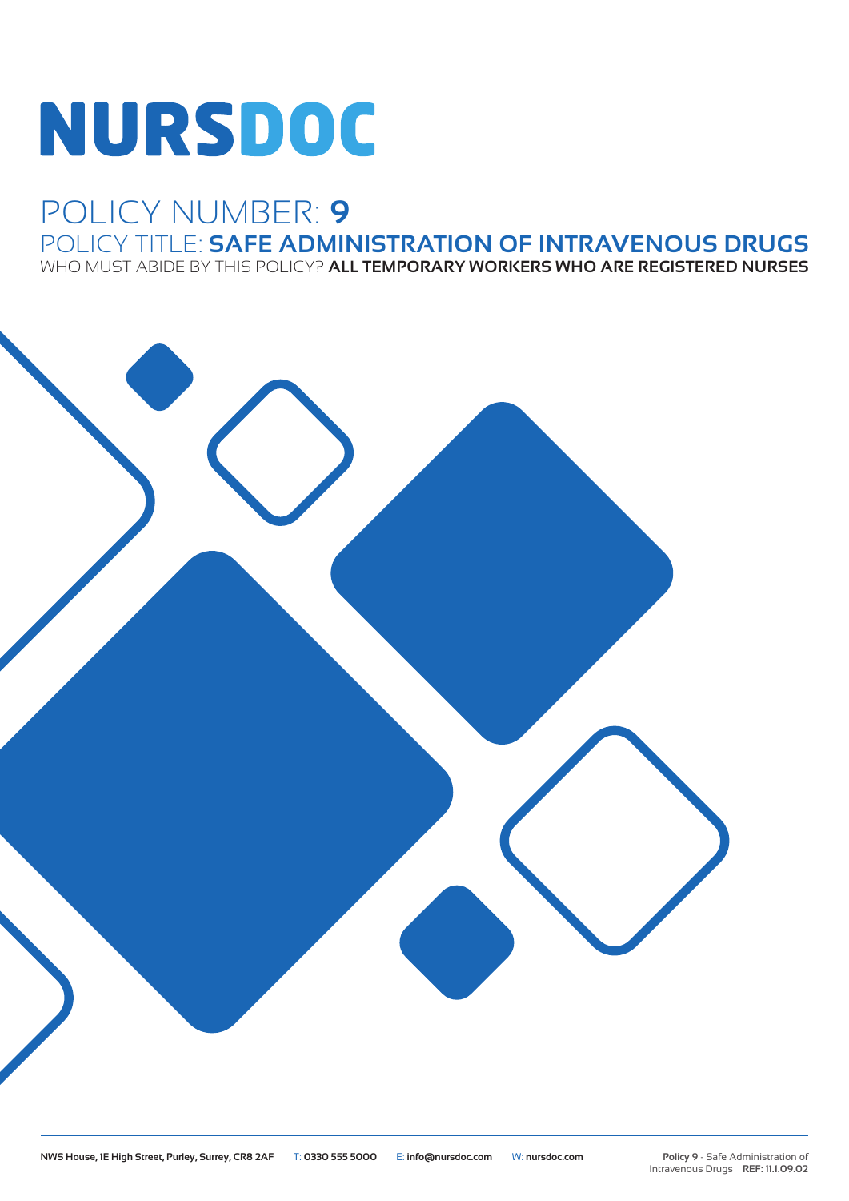# **NURSDOC**

## POLICY NUMBER: **9** POLICY TITLE: **SAFE ADMINISTRATION OF INTRAVENOUS DRUGS**

WHO MUST ABIDE BY THIS POLICY? **ALL TEMPORARY WORKERS WHO ARE REGISTERED NURSES**